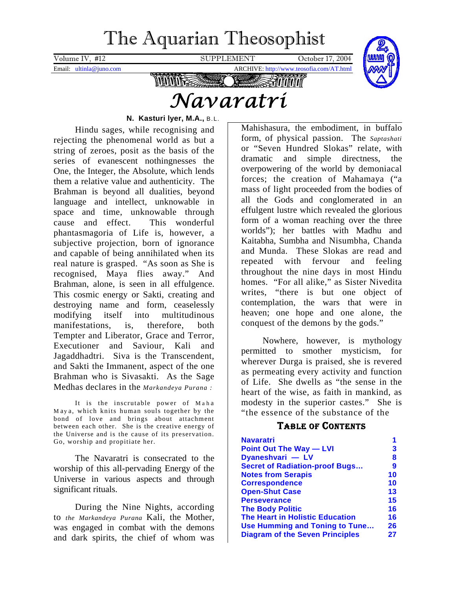# The Aquarian Theosophist

<span id="page-0-0"></span>Volume IV, #12 SUPPLEMENT October 17, 2004

Email: ultinla@juno.com ARCHIVE: http://www.teosofia.com/AT.html



**MANASSES Remain Zandov** 

# *Navaratri*

**N. Kasturi lyer, M.A.,** B.L.

Hindu sages, while recognising and rejecting the phenomenal world as but a string of zeroes, posit as the basis of the series of evanescent nothingnesses the One, the Integer, the Absolute, which lends them a relative value and authenticity. The Brahman is beyond all dualities, beyond language and intellect, unknowable in space and time, unknowable through cause and effect. This wonderful phantasmagoria of Life is, however, a subjective projection, born of ignorance and capable of being annihilated when its real nature is grasped. "As soon as She is recognised, Maya flies away." And Brahman, alone, is seen in all effulgence. This cosmic energy or Sakti, creating and destroying name and form, ceaselessly modifying itself into multitudinous manifestations, is, therefore, both Tempter and Liberator, Grace and Terror, Executioner and Saviour, Kali and Jagaddhadtri. Siva is the Transcendent, and Sakti the Immanent, aspect of the one Brahman who is Sivasakti. As the Sage Medhas declares in the *Markandeya Purana :* 

It is the inscrutable power of Maha M ay a, which knits human souls together by the bond of love and brings about attachment between each other. She is the creative energy of the Universe and is the cause of its preservation. Go, worship and propitiate her.

The Navaratri is consecrated to the worship of this all-pervading Energy of the Universe in various aspects and through significant rituals.

During the Nine Nights, according to *the Markandeya Purana* Kali, the Mother, was engaged in combat with the demons and dark spirits, the chief of whom was

Mahishasura, the embodiment, in buffalo form, of physical passion. The *Saptashati* or "Seven Hundred Slokas" relate, with dramatic and simple directness, the overpowering of the world by demoniacal forces; the creation of Mahamaya ("a mass of light proceeded from the bodies of all the Gods and conglomerated in an effulgent lustre which revealed the glorious form of a woman reaching over the three worlds"); her battles with Madhu and Kaitabha, Sumbha and Nisumbha, Chanda and Munda. These Slokas are read and repeated with fervour and feeling throughout the nine days in most Hindu homes. "For all alike," as Sister Nivedita writes, "there is but one object of contemplation, the wars that were in heaven; one hope and one alone, the conquest of the demons by the gods."

Nowhere, however, is mythology permitted to smother mysticism, for wherever Durga is praised, she is revered as permeating every activity and function of Life. She dwells as "the sense in the heart of the wise, as faith in mankind, as modesty in the superior castes." She is "the essence of the substance of the

## TABLE OF CONTENTS

| <b>Navaratri</b>                       |    |
|----------------------------------------|----|
| <b>Point Out The Way - LVI</b>         | 3  |
| Dyaneshvari - LV                       | 8  |
| <b>Secret of Radiation-proof Bugs</b>  | 9  |
| <b>Notes from Serapis</b>              | 10 |
| <b>Correspondence</b>                  | 10 |
| <b>Open-Shut Case</b>                  | 13 |
| <b>Perseverance</b>                    | 15 |
| <b>The Body Politic</b>                | 16 |
| <b>The Heart in Holistic Education</b> | 16 |
| <b>Use Humming and Toning to Tune</b>  | 26 |
| <b>Diagram of the Seven Principles</b> | 27 |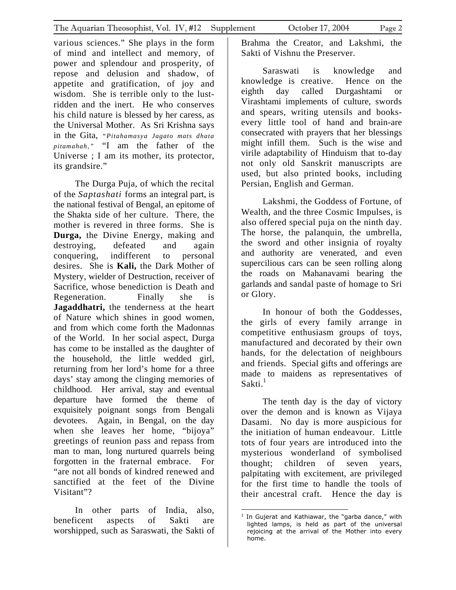various sciences." She plays in the form of mind and intellect and memory, of power and splendour and prosperity, of repose and delusion and shadow, of appetite and gratification, of joy and wisdom. She is terrible only to the lustridden and the inert. He who conserves his child nature is blessed by her caress, as the Universal Mother. As Sri Krishna says in the Gita, *"Pitahamasya Jagato mats dhata pitamahah,"* "I am the father of the Universe ; I am its mother, its protector, its grandsire."

The Durga Puja, of which the recital of the *Saptashati* forms an integral part, is the national festival of Bengal, an epitome of the Shakta side of her culture. There, the mother is revered in three forms. She is **Durga,** the Divine Energy, making and destroying, defeated and again conquering, indifferent to personal desires. She is **Kali,** the Dark Mother of Mystery, wielder of Destruction, receiver of Sacrifice, whose benediction is Death and Regeneration. Finally she is **Jagaddhatri,** the tenderness at the heart of Nature which shines in good women, and from which come forth the Madonnas of the World. In her social aspect, Durga has come to be installed as the daughter of the household, the little wedded girl, returning from her lord's home for a three days' stay among the clinging memories of childhood. Her arrival, stay and eventual departure have formed the theme of exquisitely poignant songs from Bengali devotees. Again, in Bengal, on the day when she leaves her home, "bijoya" greetings of reunion pass and repass from man to man, long nurtured quarrels being forgotten in the fraternal embrace. For "are not all bonds of kindred renewed and sanctified at the feet of the Divine Visitant"?

In other parts of India, also, beneficent aspects of Sakti are worshipped, such as Saraswati, the Sakti of Brahma the Creator, and Lakshmi, the Sakti of Vishnu the Preserver.

Saraswati is knowledge and knowledge is creative. Hence on the eighth day called Durgashtami or Virashtami implements of culture, swords and spears, writing utensils and booksevery little tool of hand and brain-are consecrated with prayers that her blessings might infill them. Such is the wise and virile adaptability of Hinduism that to-day not only old Sanskrit manuscripts are used, but also printed books, including Persian, English and German.

Lakshmi, the Goddess of Fortune, of Wealth, and the three Cosmic Impulses, is also offered special puja on the ninth day. The horse, the palanquin, the umbrella, the sword and other insignia of royalty and authority are venerated, and even supercilious cars can be seen rolling along the roads on Mahanavami bearing the garlands and sandal paste of homage to Sri or Glory.

In honour of both the Goddesses, the girls of every family arrange in competitive enthusiasm groups of toys, manufactured and decorated by their own hands, for the delectation of neighbours and friends. Special gifts and offerings are made to maidens as representatives of Sakti. $^1$  $^1$ 

The tenth day is the day of victory over the demon and is known as Vijaya Dasami. No day is more auspicious for the initiation of human endeavour. Little tots of four years are introduced into the mysterious wonderland of symbolised thought; children of seven years, palpitating with excitement, are privileged for the first time to handle the tools of their ancestral craft. Hence the day is

<span id="page-1-0"></span> 1 In Gujerat and Kathiawar, the "garba dance," with lighted lamps, is held as part of the universal rejoicing at the arrival of the Mother into every home.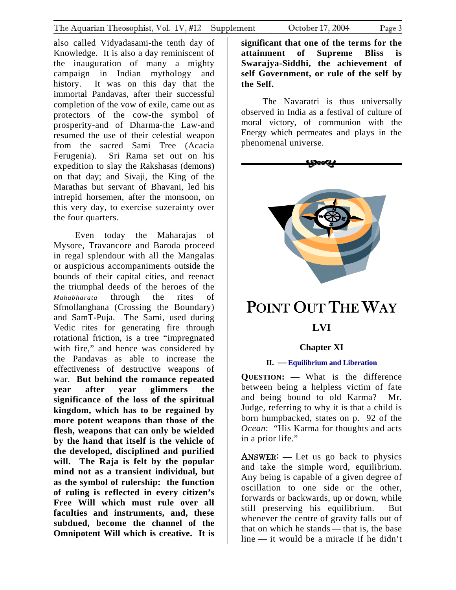<span id="page-2-0"></span>also called Vidyadasami-the tenth day of Knowledge. It is also a day reminiscent of the inauguration of many a mighty campaign in Indian mythology and history. It was on this day that the immortal Pandavas, after their successful completion of the vow of exile, came out as protectors of the cow-the symbol of prosperity-and of Dharma-the Law-and resumed the use of their celestial weapon from the sacred Sami Tree (Acacia Ferugenia). Sri Rama set out on his expedition to slay the Rakshasas (demons) on that day; and Sivaji, the King of the Marathas but servant of Bhavani, led his intrepid horsemen, after the monsoon, on this very day, to exercise suzerainty over the four quarters.

Even today the Maharajas of Mysore, Travancore and Baroda proceed in regal splendour with all the Mangalas or auspicious accompaniments outside the bounds of their capital cities, and reenact the triumphal deeds of the heroes of the *Mahabharata* through the rites of Sfmollanghana (Crossing the Boundary) and SamT-Puja. The Sami, used during Vedic rites for generating fire through rotational friction, is a tree "impregnated with fire," and hence was considered by the Pandavas as able to increase the effectiveness of destructive weapons of war. **But behind the romance repeated year after year glimmers the significance of the loss of the spiritual kingdom, which has to be regained by more potent weapons than those of the flesh, weapons that can only be wielded by the hand that itself is the vehicle of the developed, disciplined and purified will. The Raja is felt by the popular mind not as a transient individual, but as the symbol of rulership: the function of ruling is reflected in every citizen's Free Will which must rule over all faculties and instruments, and, these subdued, become the channel of the Omnipotent Will which is creative. It is**

The Navaratri is thus universally observed in India as a festival of culture of moral victory, of communion with the Energy which permeates and plays in the phenomenal universe.



# POINT OUT THE WAY **LVI**

## **Chapter XI**

#### **II. —Equilibrium and Liberation**

**QUESTION: —** What is the difference between being a helpless victim of fate and being bound to old Karma? Mr. Judge, referring to why it is that a child is born humpbacked, states on p. 92 of the *Ocean*: "His Karma for thoughts and acts in a prior life."

 $ANSWER:$  — Let us go back to physics and take the simple word, equilibrium. Any being is capable of a given degree of oscillation to one side or the other, forwards or backwards, up or down, while still preserving his equilibrium. But whenever the centre of gravity falls out of that on which he stands — that is, the base line — it would be a miracle if he didn't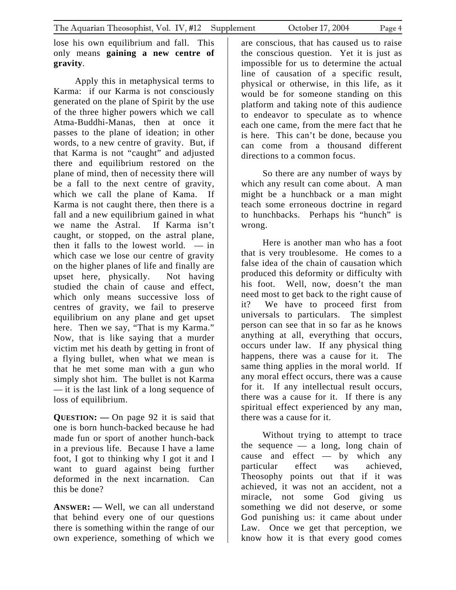## lose his own equilibrium and fall. This only means **gaining a new centre of gravity**.

Apply this in metaphysical terms to Karma: if our Karma is not consciously generated on the plane of Spirit by the use of the three higher powers which we call Atma-Buddhi-Manas, then at once it passes to the plane of ideation; in other words, to a new centre of gravity. But, if that Karma is not "caught" and adjusted there and equilibrium restored on the plane of mind, then of necessity there will be a fall to the next centre of gravity, which we call the plane of Kama. If Karma is not caught there, then there is a fall and a new equilibrium gained in what we name the Astral. If Karma isn't caught, or stopped, on the astral plane, then it falls to the lowest world.  $-$  in which case we lose our centre of gravity on the higher planes of life and finally are upset here, physically. Not having studied the chain of cause and effect, which only means successive loss of centres of gravity, we fail to preserve equilibrium on any plane and get upset here. Then we say, "That is my Karma." Now, that is like saying that a murder victim met his death by getting in front of a flying bullet, when what we mean is that he met some man with a gun who simply shot him. The bullet is not Karma — it is the last link of a long sequence of loss of equilibrium.

**QUESTION: —** On page 92 it is said that one is born hunch-backed because he had made fun or sport of another hunch-back in a previous life. Because I have a lame foot, I got to thinking why I got it and I want to guard against being further deformed in the next incarnation. Can this be done?

**ANSWER: —** Well, we can all understand that behind every one of our questions there is something within the range of our own experience, something of which we

are conscious, that has caused us to raise the conscious question. Yet it is just as impossible for us to determine the actual line of causation of a specific result, physical or otherwise, in this life, as it would be for someone standing on this platform and taking note of this audience to endeavor to speculate as to whence each one came, from the mere fact that he is here. This can't be done, because you can come from a thousand different directions to a common focus.

So there are any number of ways by which any result can come about. A man might be a hunchback or a man might teach some erroneous doctrine in regard to hunchbacks. Perhaps his "hunch" is wrong.

Here is another man who has a foot that is very troublesome. He comes to a false idea of the chain of causation which produced this deformity or difficulty with his foot. Well, now, doesn't the man need most to get back to the right cause of it? We have to proceed first from universals to particulars. The simplest person can see that in so far as he knows anything at all, everything that occurs, occurs under law. If any physical thing happens, there was a cause for it. The same thing applies in the moral world. If any moral effect occurs, there was a cause for it. If any intellectual result occurs, there was a cause for it. If there is any spiritual effect experienced by any man, there was a cause for it.

Without trying to attempt to trace the sequence  $-$  a long, long chain of cause and effect — by which any particular effect was achieved, Theosophy points out that if it was achieved, it was not an accident, not a miracle, not some God giving us something we did not deserve, or some God punishing us: it came about under Law. Once we get that perception, we know how it is that every good comes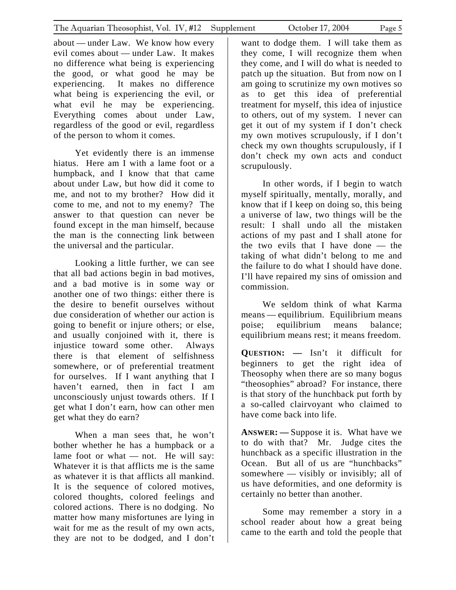about — under Law. We know how every evil comes about — under Law. It makes no difference what being is experiencing the good, or what good he may be experiencing. It makes no difference what being is experiencing the evil, or what evil he may be experiencing. Everything comes about under Law, regardless of the good or evil, regardless of the person to whom it comes.

Yet evidently there is an immense hiatus. Here am I with a lame foot or a humpback, and I know that that came about under Law, but how did it come to me, and not to my brother? How did it come to me, and not to my enemy? The answer to that question can never be found except in the man himself, because the man is the connecting link between the universal and the particular.

Looking a little further, we can see that all bad actions begin in bad motives, and a bad motive is in some way or another one of two things: either there is the desire to benefit ourselves without due consideration of whether our action is going to benefit or injure others; or else, and usually conjoined with it, there is injustice toward some other. Always there is that element of selfishness somewhere, or of preferential treatment for ourselves. If I want anything that I haven't earned, then in fact I am unconsciously unjust towards others. If I get what I don't earn, how can other men get what they do earn?

When a man sees that, he won't bother whether he has a humpback or a lame foot or what — not. He will say: Whatever it is that afflicts me is the same as whatever it is that afflicts all mankind. It is the sequence of colored motives, colored thoughts, colored feelings and colored actions. There is no dodging. No matter how many misfortunes are lying in wait for me as the result of my own acts, they are not to be dodged, and I don't want to dodge them. I will take them as they come, I will recognize them when they come, and I will do what is needed to patch up the situation. But from now on I am going to scrutinize my own motives so as to get this idea of preferential treatment for myself, this idea of injustice to others, out of my system. I never can get it out of my system if I don't check my own motives scrupulously, if I don't check my own thoughts scrupulously, if I don't check my own acts and conduct scrupulously.

In other words, if I begin to watch myself spiritually, mentally, morally, and know that if I keep on doing so, this being a universe of law, two things will be the result: I shall undo all the mistaken actions of my past and I shall atone for the two evils that I have done — the taking of what didn't belong to me and the failure to do what I should have done. I'll have repaired my sins of omission and commission.

We seldom think of what Karma means — equilibrium. Equilibrium means poise; equilibrium means balance; equilibrium means rest; it means freedom.

**QUESTION: —** Isn't it difficult for beginners to get the right idea of Theosophy when there are so many bogus "theosophies" abroad? For instance, there is that story of the hunchback put forth by a so-called clairvoyant who claimed to have come back into life.

**ANSWER: —** Suppose it is. What have we to do with that? Mr. Judge cites the hunchback as a specific illustration in the Ocean. But all of us are "hunchbacks" somewhere — visibly or invisibly; all of us have deformities, and one deformity is certainly no better than another.

Some may remember a story in a school reader about how a great being came to the earth and told the people that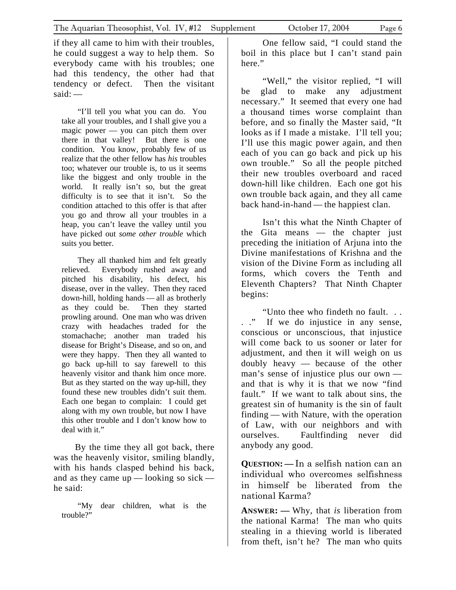if they all came to him with their troubles, he could suggest a way to help them. So everybody came with his troubles; one had this tendency, the other had that tendency or defect. Then the visitant said: —

"I'll tell you what you can do. You take all your troubles, and I shall give you a magic power — you can pitch them over there in that valley! But there is one condition. You know, probably few of us realize that the other fellow has *his* troubles too; whatever our trouble is, to us it seems like the biggest and only trouble in the world. It really isn't so, but the great difficulty is to see that it isn't. So the condition attached to this offer is that after you go and throw all your troubles in a heap, you can't leave the valley until you have picked out *some other trouble* which suits you better.

They all thanked him and felt greatly relieved. Everybody rushed away and pitched his disability, his defect, his disease, over in the valley. Then they raced down-hill, holding hands — all as brotherly as they could be. Then they started prowling around. One man who was driven crazy with headaches traded for the stomachache; another man traded his disease for Bright's Disease, and so on, and were they happy. Then they all wanted to go back up-hill to say farewell to this heavenly visitor and thank him once more. But as they started on the way up-hill, they found these new troubles didn't suit them. Each one began to complain: I could get along with my own trouble, but now I have this other trouble and I don't know how to deal with it."

By the time they all got back, there was the heavenly visitor, smiling blandly, with his hands clasped behind his back, and as they came up — looking so sick he said:

"My dear children, what is the trouble?"

One fellow said, "I could stand the boil in this place but I can't stand pain here."

"Well," the visitor replied, "I will be glad to make any adjustment necessary." It seemed that every one had a thousand times worse complaint than before, and so finally the Master said, "It looks as if I made a mistake. I'll tell you; I'll use this magic power again, and then each of you can go back and pick up his own trouble." So all the people pitched their new troubles overboard and raced down-hill like children. Each one got his own trouble back again, and they all came back hand-in-hand — the happiest clan.

Isn't this what the Ninth Chapter of the Gita means — the chapter just preceding the initiation of Arjuna into the Divine manifestations of Krishna and the vision of the Divine Form as including all forms, which covers the Tenth and Eleventh Chapters? That Ninth Chapter begins:

"Unto thee who findeth no fault. . . . ." If we do injustice in any sense, conscious or unconscious, that injustice will come back to us sooner or later for adjustment, and then it will weigh on us doubly heavy — because of the other man's sense of injustice plus our own and that is why it is that we now "find fault." If we want to talk about sins, the greatest sin of humanity is the sin of fault finding — with Nature, with the operation of Law, with our neighbors and with ourselves. Faultfinding never did anybody any good.

**QUESTION: —** In a selfish nation can an individual who overcomes selfishness in himself be liberated from the national Karma?

**ANSWER: —** Why, that *is* liberation from the national Karma! The man who quits stealing in a thieving world is liberated from theft, isn't he? The man who quits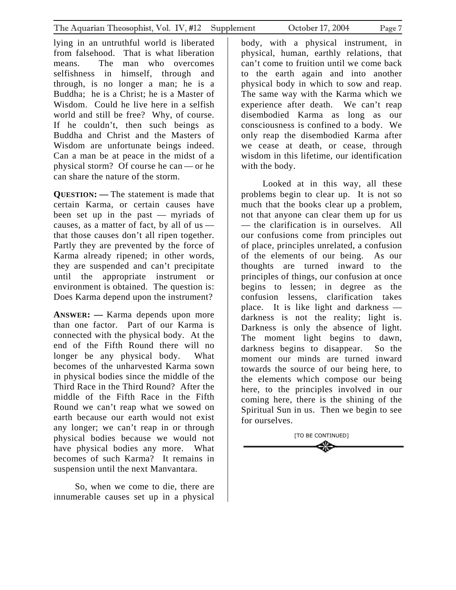lying in an untruthful world is liberated from falsehood. That is what liberation means. The man who overcomes selfishness in himself, through and through, is no longer a man; he is a Buddha; he is a Christ; he is a Master of Wisdom. Could he live here in a selfish world and still be free? Why, of course. If he couldn't, then such beings as Buddha and Christ and the Masters of Wisdom are unfortunate beings indeed. Can a man be at peace in the midst of a physical storm? Of course he can — or he can share the nature of the storm.

**QUESTION: —** The statement is made that certain Karma, or certain causes have been set up in the past — myriads of causes, as a matter of fact, by all of us that those causes don't all ripen together. Partly they are prevented by the force of Karma already ripened; in other words, they are suspended and can't precipitate until the appropriate instrument or environment is obtained. The question is: Does Karma depend upon the instrument?

**ANSWER: —** Karma depends upon more than one factor. Part of our Karma is connected with the physical body. At the end of the Fifth Round there will no longer be any physical body. What becomes of the unharvested Karma sown in physical bodies since the middle of the Third Race in the Third Round? After the middle of the Fifth Race in the Fifth Round we can't reap what we sowed on earth because our earth would not exist any longer; we can't reap in or through physical bodies because we would not have physical bodies any more. What becomes of such Karma? It remains in suspension until the next Manvantara.

So, when we come to die, there are innumerable causes set up in a physical

body, with a physical instrument, in physical, human, earthly relations, that can't come to fruition until we come back to the earth again and into another physical body in which to sow and reap. The same way with the Karma which we experience after death. We can't reap disembodied Karma as long as our consciousness is confined to a body. We only reap the disembodied Karma after we cease at death, or cease, through wisdom in this lifetime, our identification with the body.

Looked at in this way, all these problems begin to clear up. It is not so much that the books clear up a problem, not that anyone can clear them up for us — the clarification is in ourselves. All our confusions come from principles out of place, principles unrelated, a confusion of the elements of our being. As our thoughts are turned inward to the principles of things, our confusion at once begins to lessen; in degree as the confusion lessens, clarification takes place. It is like light and darkness darkness is not the reality; light is. Darkness is only the absence of light. The moment light begins to dawn, darkness begins to disappear. So the moment our minds are turned inward towards the source of our being here, to the elements which compose our being here, to the principles involved in our coming here, there is the shining of the Spiritual Sun in us. Then we begin to see for ourselves.

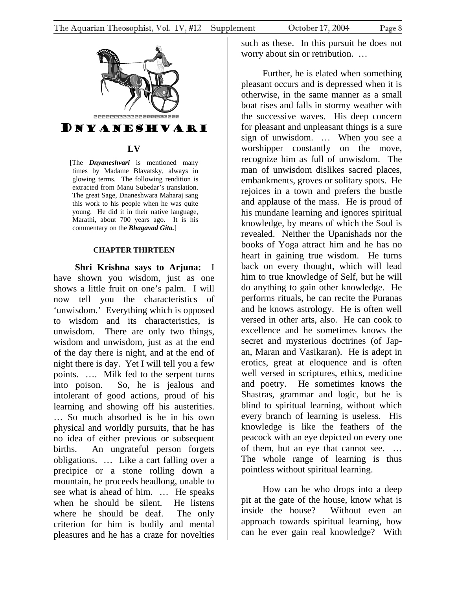<span id="page-7-0"></span>

#### **LV**

[The *Dnyaneshvari* is mentioned many times by Madame Blavatsky, always in glowing terms. The following rendition is extracted from Manu Subedar's translation. The great Sage, Dnaneshwara Maharaj sang this work to his people when he was quite young. He did it in their native language, Marathi, about 700 years ago. It is his commentary on the *Bhagavad Gita.*]

#### **CHAPTER THIRTEEN**

**Shri Krishna says to Arjuna:** I have shown you wisdom, just as one shows a little fruit on one's palm. I will now tell you the characteristics of 'unwisdom.' Everything which is opposed to wisdom and its characteristics, is unwisdom. There are only two things, wisdom and unwisdom, just as at the end of the day there is night, and at the end of night there is day. Yet I will tell you a few points. …. Milk fed to the serpent turns into poison. So, he is jealous and intolerant of good actions, proud of his learning and showing off his austerities. … So much absorbed is he in his own physical and worldly pursuits, that he has no idea of either previous or subsequent births. An ungrateful person forgets obligations. … Like a cart falling over a precipice or a stone rolling down a mountain, he proceeds headlong, unable to see what is ahead of him. … He speaks when he should be silent. He listens where he should be deaf. The only criterion for him is bodily and mental pleasures and he has a craze for novelties

such as these. In this pursuit he does not worry about sin or retribution. …

Further, he is elated when something pleasant occurs and is depressed when it is otherwise, in the same manner as a small boat rises and falls in stormy weather with the successive waves. His deep concern for pleasant and unpleasant things is a sure sign of unwisdom. … When you see a worshipper constantly on the move, recognize him as full of unwisdom. The man of unwisdom dislikes sacred places, embankments, groves or solitary spots. He rejoices in a town and prefers the bustle and applause of the mass. He is proud of his mundane learning and ignores spiritual knowledge, by means of which the Soul is revealed. Neither the Upanishads nor the books of Yoga attract him and he has no heart in gaining true wisdom. He turns back on every thought, which will lead him to true knowledge of Self, but he will do anything to gain other knowledge. He performs rituals, he can recite the Puranas and he knows astrology. He is often well versed in other arts, also. He can cook to excellence and he sometimes knows the secret and mysterious doctrines (of Japan, Maran and Vasikaran). He is adept in erotics, great at eloquence and is often well versed in scriptures, ethics, medicine and poetry. He sometimes knows the Shastras, grammar and logic, but he is blind to spiritual learning, without which every branch of learning is useless. His knowledge is like the feathers of the peacock with an eye depicted on every one of them, but an eye that cannot see. … The whole range of learning is thus pointless without spiritual learning.

How can he who drops into a deep pit at the gate of the house, know what is inside the house? Without even an approach towards spiritual learning, how can he ever gain real knowledge? With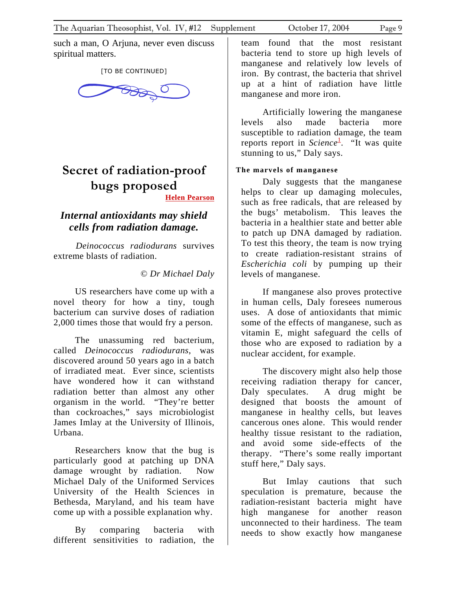such a man, O Arjuna, never even discuss spiritual matters.

[TO BE CONTINUED]



# **Secret of radiation-proof bugs proposed**

**[Helen Pearson](http://www.teosofia.com/Docs/Pearson)**

# *Internal antioxidants may shield cells from radiation damage.*

*Deinococcus radiodurans* survives extreme blasts of radiation.

*© Dr Michael Daly*

US researchers have come up with a novel theory for how a tiny, tough bacterium can survive doses of radiation 2,000 times those that would fry a person.

The unassuming red bacterium, called *Deinococcus radiodurans*, was discovered around 50 years ago in a batch of irradiated meat. Ever since, scientists have wondered how it can withstand radiation better than almost any other organism in the world. "They're better than cockroaches," says microbiologist James Imlay at the University of Illinois, Urbana.

Researchers know that the bug is particularly good at patching up DNA damage wrought by radiation. Now Michael Daly of the Uniformed Services University of the Health Sciences in Bethesda, Maryland, and his team have come up with a possible explanation why.

By comparing bacteria with different sensitivities to radiation, the team found that the most resistant bacteria tend to store up high levels of manganese and relatively low levels of iron. By contrast, the bacteria that shrivel up at a hint of radiation have little manganese and more iron.

Artificially lowering the manganese levels also made bacteria more susceptible to radiation damage, the team reports report in *Science*<sup>[1](http://www.teosofia.com/Docs/B1#B1)</sup>. "It was quite stunning to us," Daly says.

#### **The marvels of manganese**

Daly suggests that the manganese helps to clear up damaging molecules, such as free radicals, that are released by the bugs' metabolism. This leaves the bacteria in a healthier state and better able to patch up DNA damaged by radiation. To test this theory, the team is now trying to create radiation-resistant strains of *Escherichia coli* by pumping up their levels of manganese.

If manganese also proves protective in human cells, Daly foresees numerous uses. A dose of antioxidants that mimic some of the effects of manganese, such as vitamin E, might safeguard the cells of those who are exposed to radiation by a nuclear accident, for example.

The discovery might also help those receiving radiation therapy for cancer, Daly speculates. A drug might be designed that boosts the amount of manganese in healthy cells, but leaves cancerous ones alone. This would render healthy tissue resistant to the radiation, and avoid some side-effects of the therapy. "There's some really important stuff here," Daly says.

But Imlay cautions that such speculation is premature, because the radiation-resistant bacteria might have high manganese for another reason unconnected to their hardiness. The team needs to show exactly how manganese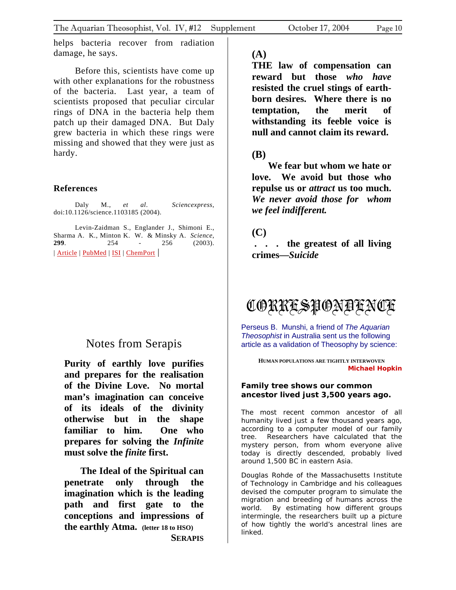<span id="page-9-0"></span>helps bacteria recover from radiation damage, he says.

Before this, scientists have come up with other explanations for the robustness of the bacteria. Last year, a team of scientists proposed that peculiar circular rings of DNA in the bacteria help them patch up their damaged DNA. But Daly grew bacteria in which these rings were missing and showed that they were just as hardy.

#### **References**

Daly M., *et al*. *Sciencexpress*, doi:10.1126/science.1103185 (2004).

Levin-Zaidman S., Englander J., Shimoni E., Sharma A. K., Minton K. W. & Minsky A. *Science*, 254 - 256 (2003). | [Article](http://dx.doi.org/10.1126%2Fscience.1077865) | [PubMed](http://www.ncbi.nlm.nih.gov/entrez/query.fcgi?holding=npg&cmd=Retrieve&db=PubMed&list_uids=12522252&dopt=Abstract) | [ISI](http://links.isiglobalnet2.com/gateway/Gateway.cgi?&GWVersion=2&SrcAuth=Nature&SrcApp=Nature&DestLinkType=FullRecord&KeyUT=000180284000040&DestApp=WOS_CPL) | [ChemPort](http://chemport.cas.org/cgi-bin/sdcgi?APP=ftslink&action=reflink&origin=npg&version=1.0&coi=1:CAS:528:DC%2BD3sXhs1Gkug%3D%3D&pissn=&pyear=2004&md5=a8ebeb9085cdd35b1e743dc43076ff30)

## Notes from Serapis

**Purity of earthly love purifies and prepares for the realisation of the Divine Love. No mortal man's imagination can conceive of its ideals of the divinity otherwise but in the shape familiar to him. One who prepares for solving the** *Infinite*  **must solve the** *finite* **first.**

**The Ideal of the Spiritual can penetrate only through the imagination which is the leading path and first gate to the conceptions and impressions of the earthly Atma. (letter 18 to HSO)**

**SERAPIS**

#### **(A)**

**THE law of compensation can reward but those** *who have*  **resisted the cruel stings of earthborn desires. Where there is no temptation, the merit of withstanding its feeble voice is null and cannot claim its reward.**

## **(B)**

**We fear but whom we hate or love. We avoid but those who repulse us or** *attract* **us too much.**  *We never avoid those for whom we feel indifferent.*

## **(C)**

**. . . the greatest of all living crimes—***Suicide*

# CORRESPONDENCE

Perseus B. Munshi, a friend of *The Aquarian Theosophist* in Australia sent us the following article as a validation of Theosophy by science:

> **HUMAN POPULATIONS ARE TIGHTLY INTERWOVEN [Michael Hopkin](http://www.teosofia.com/Docs/Hopkin)**

#### **Family tree shows our common ancestor lived just 3,500 years ago.**

The most recent common ancestor of all humanity lived just a few thousand years ago, according to a computer model of our family tree. Researchers have calculated that the mystery person, from whom everyone alive today is directly descended, probably lived around 1,500 BC in eastern Asia.

Douglas Rohde of the Massachusetts Institute of Technology in Cambridge and his colleagues devised the computer program to simulate the migration and breeding of humans across the world. By estimating how different groups intermingle, the researchers built up a picture of how tightly the world's ancestral lines are linked.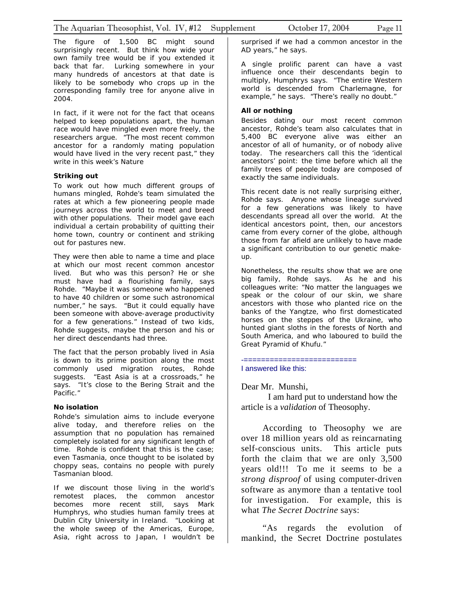The figure of 1,500 BC might sound surprisingly recent. But think how wide your own family tree would be if you extended it back that far. Lurking somewhere in your many hundreds of ancestors at that date is likely to be somebody who crops up in the corresponding family tree for anyone alive in 2004.

In fact, if it were not for the fact that oceans helped to keep populations apart, the human race would have mingled even more freely, the researchers argue. "The most recent common ancestor for a randomly mating population would have lived in the very recent past," they write in this week's *Nature*

#### **Striking out**

To work out how much different groups of humans mingled, Rohde's team simulated the rates at which a few pioneering people made journeys across the world to meet and breed with other populations. Their model gave each individual a certain probability of quitting their home town, country or continent and striking out for pastures new.

They were then able to name a time and place at which our most recent common ancestor lived. But who was this person? He or she must have had a flourishing family, says Rohde. "Maybe it was someone who happened to have 40 children or some such astronomical number," he says. "But it could equally have been someone with above-average productivity for a few generations." Instead of two kids, Rohde suggests, maybe the person and his or her direct descendants had three.

The fact that the person probably lived in Asia is down to its prime position along the most commonly used migration routes, Rohde suggests. "East Asia is at a crossroads," he says. "It's close to the Bering Strait and the Pacific."

#### **No isolation**

Rohde's simulation aims to include everyone alive today, and therefore relies on the assumption that no population has remained completely isolated for any significant length of time. Rohde is confident that this is the case; even Tasmania, once thought to be isolated by choppy seas, contains no people with purely Tasmanian blood.

If we discount those living in the world's remotest places, the common ancestor becomes more recent still, says Mark Humphrys, who studies human family trees at Dublin City University in Ireland. "Looking at the whole sweep of the Americas, Europe, Asia, right across to Japan, I wouldn't be

A single prolific parent can have a vast influence once their descendants begin to multiply, Humphrys says. "The entire Western world is descended from Charlemagne, for example," he says. "There's really no doubt."

#### **All or nothing**

Besides dating our most recent common ancestor, Rohde's team also calculates that in 5,400 BC everyone alive was either an ancestor of all of humanity, or of nobody alive today. The researchers call this the 'identical ancestors' point: the time before which all the family trees of people today are composed of exactly the same individuals.

This recent date is not really surprising either, Rohde says. Anyone whose lineage survived for a few generations was likely to have descendants spread all over the world. At the identical ancestors point, then, our ancestors came from every corner of the globe, although those from far afield are unlikely to have made a significant contribution to our genetic makeup.

Nonetheless, the results show that we are one big family, Rohde says. As he and his colleagues write: "No matter the languages we speak or the colour of our skin, we share ancestors with those who planted rice on the banks of the Yangtze, who first domesticated horses on the steppes of the Ukraine, who hunted giant sloths in the forests of North and South America, and who laboured to build the Great Pyramid of Khufu."

#### -========================== I answered like this:

#### Dear Mr. Munshi,

I am hard put to understand how the article is a *validation* of Theosophy.

According to Theosophy we are over 18 million years old as reincarnating self-conscious units. This article puts forth the claim that we are only 3,500 years old!!! To me it seems to be a *strong disproof* of using computer-driven software as anymore than a tentative tool for investigation. For example, this is what *The Secret Doctrine* says:

"As regards the evolution of mankind, the Secret Doctrine postulates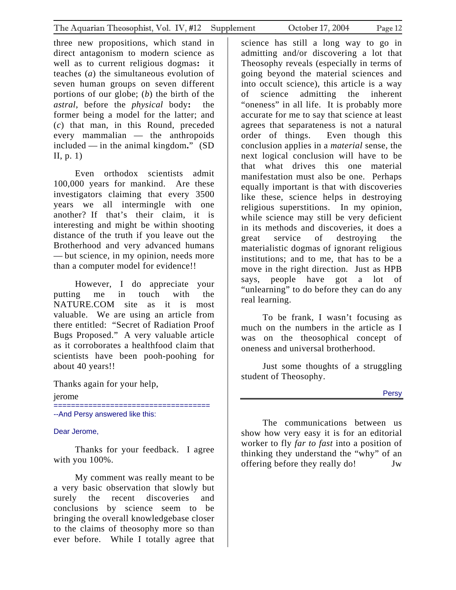three new propositions, which stand in direct antagonism to modern science as well as to current religious dogmas**:** it teaches (*a*) the simultaneous evolution of seven human groups on seven different portions of our globe; (*b*) the birth of the *astral*, before the *physical* body**:** the former being a model for the latter; and (*c*) that man, in this Round, preceded every mammalian — the anthropoids included — in the animal kingdom**.**"(SD II, p. 1)

Even orthodox scientists admit 100,000 years for mankind. Are these investigators claiming that every 3500 years we all intermingle with one another? If that's their claim, it is interesting and might be within shooting distance of the truth if you leave out the Brotherhood and very advanced humans — but science, in my opinion, needs more than a computer model for evidence!!

However, I do appreciate your putting me in touch with the NATURE.COM site as it is most valuable. We are using an article from there entitled: "Secret of Radiation Proof Bugs Proposed." A very valuable article as it corroborates a healthfood claim that scientists have been pooh-poohing for about 40 years!!

Thanks again for your help,

#### jerome

==================================== --And Persy answered like this:

#### Dear Jerome,

Thanks for your feedback. I agree with you 100%.

My comment was really meant to be a very basic observation that slowly but surely the recent discoveries and conclusions by science seem to be bringing the overall knowledgebase closer to the claims of theosophy more so than ever before. While I totally agree that

science has still a long way to go in admitting and/or discovering a lot that Theosophy reveals (especially in terms of going beyond the material sciences and into occult science), this article is a way of science admitting the inherent "oneness" in all life. It is probably more accurate for me to say that science at least agrees that separateness is not a natural order of things. Even though this conclusion applies in a *material* sense, the next logical conclusion will have to be that what drives this one material manifestation must also be one. Perhaps equally important is that with discoveries like these, science helps in destroying religious superstitions. In my opinion, while science may still be very deficient in its methods and discoveries, it does a great service of destroying the materialistic dogmas of ignorant religious institutions; and to me, that has to be a move in the right direction. Just as HPB says, people have got a lot of "unlearning" to do before they can do any real learning.

To be frank, I wasn't focusing as much on the numbers in the article as I was on the theosophical concept of oneness and universal brotherhood.

Just some thoughts of a struggling student of Theosophy.

**Persy** 

The communications between us show how very easy it is for an editorial worker to fly *far to fast* into a position of thinking they understand the "why" of an offering before they really do! Jw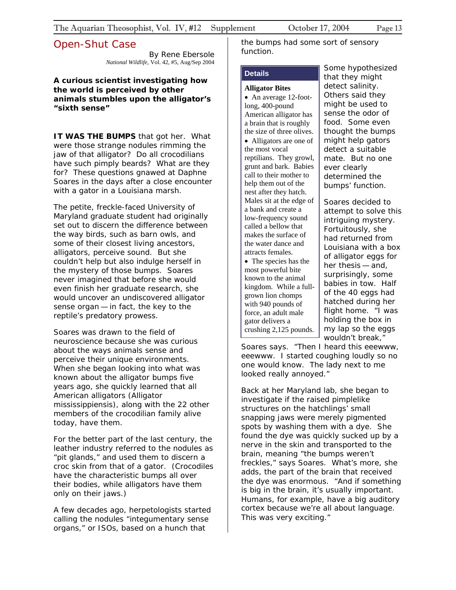## <span id="page-12-0"></span>Open-Shut Case

*By Rene Ebersole National Wildlife,* Vol. 42, #5, Aug/Sep 2004

**A curious scientist investigating how the world is perceived by other animals stumbles upon the alligator's "sixth sense"**

**IT WAS THE BUMPS** that got her. What were those strange nodules rimming the jaw of that alligator? Do all crocodilians have such pimply beards? What are they for? These questions gnawed at Daphne Soares in the days after a close encounter with a gator in a Louisiana marsh.

The petite, freckle-faced University of Maryland graduate student had originally set out to discern the difference between the way birds, such as barn owls, and some of their closest living ancestors, alligators, perceive sound. But she couldn't help but also indulge herself in the mystery of those bumps. Soares never imagined that before she would even finish her graduate research, she would uncover an undiscovered alligator sense organ — in fact, the key to the reptile's predatory prowess.

Soares was drawn to the field of neuroscience because she was curious about the ways animals sense and perceive their unique environments. When she began looking into what was known about the alligator bumps five years ago, she quickly learned that all American alligators (*Alligator mississippiensis*), along with the 22 other members of the crocodilian family alive today, have them.

For the better part of the last century, the leather industry referred to the nodules as "pit glands," and used them to discern a croc skin from that of a gator. (Crocodiles have the characteristic bumps all over their bodies, while alligators have them only on their jaws.)

A few decades ago, herpetologists started calling the nodules "integumentary sense organs," or ISOs, based on a hunch that

the bumps had some sort of sensory function.

#### **Details**

#### **Alligator Bites**

• An average 12-footlong, 400-pound American alligator has a brain that is roughly the size of three olives. • Alligators are one of the most vocal reptilians. They growl, grunt and bark. Babies call to their mother to help them out of the nest after they hatch. Males sit at the edge of a bank and create a low-frequency sound called a bellow that makes the surface of the water dance and attracts females.

• The species has the most powerful bite known to the animal kingdom. While a fullgrown lion chomps with 940 pounds of force, an adult male gator delivers a crushing 2,125 pounds. Some hypothesized that they might detect salinity. Others said they might be used to sense the odor of food. Some even thought the bumps might help gators detect a suitable mate. But no one ever clearly determined the bumps' function.

Soares decided to attempt to solve this intriguing mystery. Fortuitously, she had returned from Louisiana with a box of alligator eggs for her thesis — and, surprisingly, some babies in tow. Half of the 40 eggs had hatched during her flight home. "I was holding the box in my lap so the eggs wouldn't break,"

Soares says. "Then I heard this *eeewww, eeewww*. I started coughing loudly so no one would know. The lady next to me looked really annoyed."

Back at her Maryland lab, she began to investigate if the raised pimplelike structures on the hatchlings' small snapping jaws were merely pigmented spots by washing them with a dye. She found the dye was quickly sucked up by a nerve in the skin and transported to the brain, meaning "the bumps weren't freckles," says Soares. What's more, she adds, the part of the brain that received the dye was enormous. "And if something is big in the brain, it's usually important. Humans, for example, have a big auditory cortex because we're all about language. This was very exciting."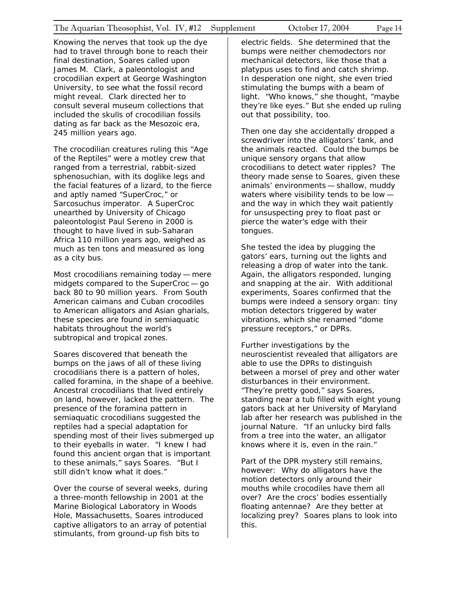Knowing the nerves that took up the dye had to travel through bone to reach their final destination, Soares called upon James M. Clark, a paleontologist and crocodilian expert at George Washington University, to see what the fossil record might reveal. Clark directed her to consult several museum collections that included the skulls of crocodilian fossils dating as far back as the Mesozoic era, 245 million years ago.

The crocodilian creatures ruling this "Age of the Reptiles" were a motley crew that ranged from a terrestrial, rabbit-sized sphenosuchian, with its doglike legs and the facial features of a lizard, to the fierce and aptly named "SuperCroc," or *Sarcosuchus imperator*. A SuperCroc unearthed by University of Chicago paleontologist Paul Sereno in 2000 is thought to have lived in sub-Saharan Africa 110 million years ago, weighed as much as ten tons and measured as long as a city bus.

Most crocodilians remaining today — mere midgets compared to the SuperCroc — go back 80 to 90 million years. From South American caimans and Cuban crocodiles to American alligators and Asian gharials, these species are found in semiaquatic habitats throughout the world's subtropical and tropical zones.

Soares discovered that beneath the bumps on the jaws of all of these living crocodilians there is a pattern of holes, called foramina, in the shape of a beehive. Ancestral crocodilians that lived entirely on land, however, lacked the pattern. The presence of the foramina pattern in semiaquatic crocodilians suggested the reptiles had a special adaptation for spending most of their lives submerged up to their eyeballs in water. "I knew I had found this ancient organ that is important to these animals," says Soares. "But I still didn't know what it does."

Over the course of several weeks, during a three-month fellowship in 2001 at the Marine Biological Laboratory in Woods Hole, Massachusetts, Soares introduced captive alligators to an array of potential stimulants, from ground-up fish bits to

electric fields. She determined that the bumps were neither chemodectors nor mechanical detectors, like those that a platypus uses to find and catch shrimp. In desperation one night, she even tried stimulating the bumps with a beam of light. "Who knows," she thought, "maybe they're like eyes." But she ended up ruling out that possibility, too.

Then one day she accidentally dropped a screwdriver into the alligators' tank, and the animals reacted. Could the bumps be unique sensory organs that allow crocodilians to detect water ripples? The theory made sense to Soares, given these animals' environments — shallow, muddy waters where visibility tends to be low and the way in which they wait patiently for unsuspecting prey to float past or pierce the water's edge with their tongues.

She tested the idea by plugging the gators' ears, turning out the lights and releasing a drop of water into the tank. Again, the alligators responded, lunging and snapping at the air. With additional experiments, Soares confirmed that the bumps were indeed a sensory organ: tiny motion detectors triggered by water vibrations, which she renamed "dome pressure receptors," or DPRs.

Further investigations by the neuroscientist revealed that alligators are able to use the DPRs to distinguish between a morsel of prey and other water disturbances in their environment. "They're pretty good," says Soares, standing near a tub filled with eight young gators back at her University of Maryland lab after her research was published in the journal Nature. "If an unlucky bird falls from a tree into the water, an alligator knows where it is, even in the rain."

Part of the DPR mystery still remains, however: Why do alligators have the motion detectors only around their mouths while crocodiles have them all over? Are the crocs' bodies essentially floating antennae? Are they better at localizing prey? Soares plans to look into this.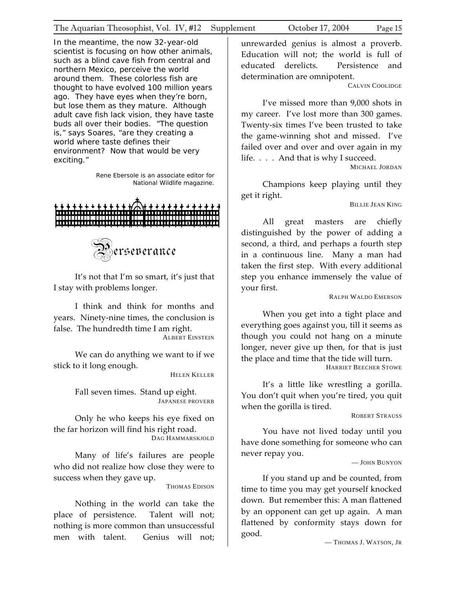<span id="page-14-0"></span>In the meantime, the now 32-year-old scientist is focusing on how other animals, such as a blind cave fish from central and northern Mexico, perceive the world around them. These colorless fish are thought to have evolved 100 million years ago. They have eyes when they're born, but lose them as they mature. Although adult cave fish lack vision, they have taste buds all over their bodies. "The question is," says Soares, "are they creating a world where taste defines their environment? Now that would be very exciting."

> *Rene Ebersole is an associate editor for National Wildlife magazine.*

# 



It's not that I'm so smart, it's just that I stay with problems longer.

I think and think for months and years. Ninety‐nine times, the conclusion is false. The hundredth time I am right.

ALBERT EINSTEIN

We can do anything we want to if we stick to it long enough.

HELEN KELLER

Fall seven times. Stand up eight. JAPANESE PROVERB

Only he who keeps his eye fixed on the far horizon will find his right road. DAG HAMMARSKJOLD

Many of life's failures are people who did not realize how close they were to success when they gave up.

THOMAS EDISON

Nothing in the world can take the place of persistence. Talent will not; nothing is more common than unsuccessful men with talent. Genius will not;

unrewarded genius is almost a proverb. Education will not; the world is full of educated derelicts. Persistence and determination are omnipotent.

CALVIN COOLIDGE

I've missed more than 9,000 shots in my career. I've lost more than 300 games. Twenty‐six times I've been trusted to take the game‐winning shot and missed. I've failed over and over and over again in my life. . . . And that is why I succeed.

MICHAEL JORDAN

Champions keep playing until they get it right.

BILLIE JEAN KING

All great masters are chiefly distinguished by the power of adding a second, a third, and perhaps a fourth step in a continuous line. Many a man had taken the first step. With every additional step you enhance immensely the value of your first.

RALPH WALDO EMERSON

When you get into a tight place and everything goes against you, till it seems as though you could not hang on a minute longer, never give up then, for that is just the place and time that the tide will turn.

HARRIET BEECHER STOWE

It's a little like wrestling a gorilla. You don't quit when you're tired, you quit when the gorilla is tired.

ROBERT STRAUSS

You have not lived today until you have done something for someone who can never repay you.

— JOHN BUNYON

If you stand up and be counted, from time to time you may get yourself knocked down. But remember this: A man flattened by an opponent can get up again. A man flattened by conformity stays down for good.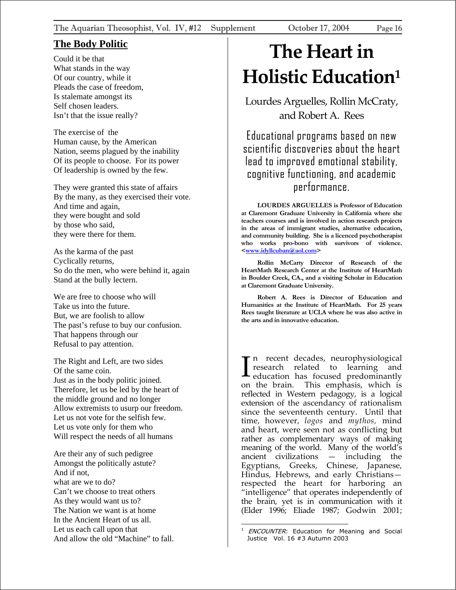# <span id="page-15-0"></span>**The Body Politic**

Could it be that What stands in the way Of our country, while it Pleads the case of freedom, Is stalemate amongst its Self chosen leaders. Isn't that the issue really?

The exercise of the Human cause, by the American Nation, seems plagued by the inability Of its people to choose. For its power Of leadership is owned by the few.

They were granted this state of affairs By the many, as they exercised their vote. And time and again, they were bought and sold by those who said, they were there for them.

As the karma of the past Cyclically returns, So do the men, who were behind it, again Stand at the bully lectern.

We are free to choose who will Take us into the future. But, we are foolish to allow The past's refuse to buy our confusion. That happens through our Refusal to pay attention.

The Right and Left, are two sides Of the same coin. Just as in the body politic joined. Therefore, let us be led by the heart of the middle ground and no longer Allow extremists to usurp our freedom. Let us not vote for the selfish few. Let us vote only for them who Will respect the needs of all humans

Are their any of such pedigree Amongst the politically astute? And if not, what are we to do? Can't we choose to treat others As they would want us to? The Nation we want is at home In the Ancient Heart of us all. Let us each call upon that And allow the old "Machine" to fall.

# **The Heart in Holistic Educatio[n1](#page-15-1)**

Lourdes Arguelles, Rollin McCraty, and Robert A. Rees

Educational programs based on new scientific discoveries about the heart lead to improved emotional stability, cognitive functioning, and academic performance.

**LOURDES ARGUELLES is Professor of Education at Claremont Graduate University in California where she teachers courses and is involved in action research projects in the areas of immigrant studies, alternative education, and community building. She is a licenced psychotherapist who works pro-bono with survivors of violence. [<www.idyllcuban@aol.com](mailto:www.idyllcuban@aol.com)>** 

**Rollin McCarty Director of Research of the HeartMath Research Center at the Institute of HeartMath in Boulder Creek, CA., and a visiting Scholar in Education at Claremont Graduate University.** 

**Robert A. Rees is Director of Education and Humanities at the Institute of HeartMath. For 25 years Rees taught literature at UCLA where he was also active in the arts and in innovative education.** 

In recent decades, neurophysiological<br>
research related to learning and<br>
education has focused predominantly<br>
an the hugin This amphasis which is research related to learning and education has focused predominantly on the brain. This emphasis, which is reflected in Western pedagogy, is a logical extension of the ascendancy of rationalism since the seventeenth century. Until that time, however, *logos* and *mythos,* mind and heart, were seen not as conflicting but rather as complementary ways of making meaning of the world. Many of the world's<br>ancient civilizations — including the ancient civilizations  $-$ Egyptians, Greeks, Chinese, Japanese, Hindus, Hebrews, and early Christians respected the heart for harboring an "intelligence" that operates independently of the brain, yet is in communication with it (Elder 1996; Eliade 1987; Godwin 2001;

<span id="page-15-1"></span> $\overline{a}$ ENCOUNTER: Education for Meaning and Social Justice Vol. 16 #3 Autumn 2003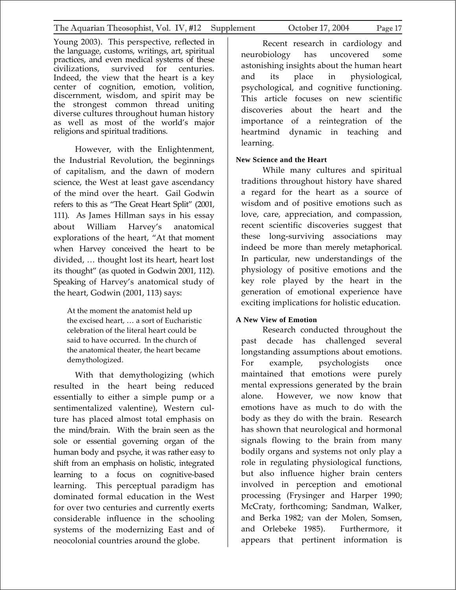Young 2003). This perspective, reflected in the language, customs, writings, art, spiritual practices, and even medical systems of these<br>civilizations, survived for centuries. civilizations, Indeed, the view that the heart is a key center of cognition, emotion, volition, discernment, wisdom, and spirit may be the strongest common thread uniting diverse cultures throughout human history as well as most of the world's major religions and spiritual traditions.

However, with the Enlightenment, the Industrial Revolution, the beginnings of capitalism, and the dawn of modern science, the West at least gave ascendancy of the mind over the heart. Gail Godwin refers to this as "The Great Heart Split" (2001, 111). As James Hillman says in his essay about William Harvey's anatomical explorations of the heart, "At that moment when Harvey conceived the heart to be divided, … thought lost its heart, heart lost its thought" (as quoted in Godwin 2001, 112). Speaking of Harvey's anatomical study of the heart, Godwin (2001, 113) says:

At the moment the anatomist held up the excised heart, … a sort of Eucharistic celebration of the literal heart could be said to have occurred. In the church of the anatomical theater, the heart became demythologized.

With that demythologizing (which resulted in the heart being reduced essentially to either a simple pump or a sentimentalized valentine), Western culture has placed almost total emphasis on the mind/brain. With the brain seen as the sole or essential governing organ of the human body and psyche, it was rather easy to shift from an emphasis on holistic, integrated learning to a focus on cognitive‐based learning. This perceptual paradigm has dominated formal education in the West for over two centuries and currently exerts considerable influence in the schooling systems of the modernizing East and of neocolonial countries around the globe.

Recent research in cardiology and neurobiology has uncovered some astonishing insights about the human heart and its place in physiological, psychological, and cognitive functioning. This article focuses on new scientific discoveries about the heart and the importance of a reintegration of the heartmind dynamic in teaching and learning.

#### **New Science and the Heart**

While many cultures and spiritual traditions throughout history have shared a regard for the heart as a source of wisdom and of positive emotions such as love, care, appreciation, and compassion, recent scientific discoveries suggest that these long‐surviving associations may indeed be more than merely metaphorical. In particular, new understandings of the physiology of positive emotions and the key role played by the heart in the generation of emotional experience have exciting implications for holistic education.

#### **A New View of Emotion**

Research conducted throughout the past decade has challenged several longstanding assumptions about emotions. For example, psychologists once maintained that emotions were purely mental expressions generated by the brain alone. However, we now know that emotions have as much to do with the body as they do with the brain. Research has shown that neurological and hormonal signals flowing to the brain from many bodily organs and systems not only play a role in regulating physiological functions, but also influence higher brain centers involved in perception and emotional processing (Frysinger and Harper 1990; McCraty, forthcoming; Sandman, Walker, and Berka 1982; van der Molen, Somsen, and Orlebeke 1985). Furthermore, it appears that pertinent information is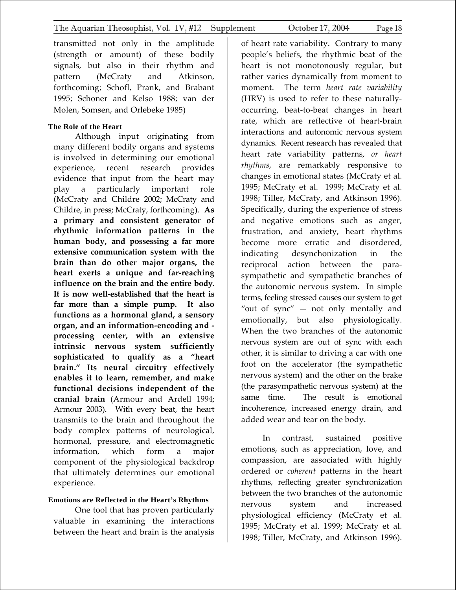transmitted not only in the amplitude (strength or amount) of these bodily signals, but also in their rhythm and pattern (McCraty and Atkinson, forthcoming; Schofl, Prank, and Brabant 1995; Schoner and Kelso 1988; van der Molen, Somsen, and Orlebeke 1985)

#### **The Role of the Heart**

Although input originating from many different bodily organs and systems is involved in determining our emotional experience, recent research provides evidence that input from the heart may play a particularly important role (McCraty and Childre 2002; McCraty and Childre, in press; McCraty, forthcoming). **As a primary and consistent generator of rhythmic information patterns in the human body, and possessing a far more extensive communication system with the brain than do other major organs, the heart exerts a unique and far‐reaching influence on the brain and the entire body. It is now well‐established that the heart is far more than a simple pump. It also functions as a hormonal gland, a sensory organ, and an information‐encoding and ‐ processing center, with an extensive intrinsic nervous system sufficiently sophisticated to qualify as a "heart brain." Its neural circuitry effectively enables it to learn, remember, and make functional decisions independent of the cranial brain** (Armour and Ardell 1994; Armour 2003). With every beat, the heart transmits to the brain and throughout the body complex patterns of neurological, hormonal, pressure, and electromagnetic information, which form a major component of the physiological backdrop that ultimately determines our emotional experience.

#### **Emotions are Reflected in the Heart's Rhythms**

One tool that has proven particularly valuable in examining the interactions between the heart and brain is the analysis

of heart rate variability. Contrary to many people's beliefs, the rhythmic beat of the heart is not monotonously regular, but rather varies dynamically from moment to moment. The term *heart rate variability* (HRV) is used to refer to these naturally‐ occurring, beat‐to‐beat changes in heart rate, which are reflective of heart‐brain interactions and autonomic nervous system dynamics. Recent research has revealed that heart rate variability patterns, *or heart rhythms,* are remarkably responsive to changes in emotional states (McCraty et al. 1995; McCraty et al. 1999; McCraty et al. 1998; Tiller, McCraty, and Atkinson 1996). Specifically, during the experience of stress and negative emotions such as anger, frustration, and anxiety, heart rhythms become more erratic and disordered, indicating desynchonization in the reciprocal action between the para‐ sympathetic and sympathetic branches of the autonomic nervous system. In simple terms, feeling stressed causes our system to get "out of sync" — not only mentally and emotionally, but also physiologically. When the two branches of the autonomic nervous system are out of sync with each other, it is similar to driving a car with one foot on the accelerator (the sympathetic nervous system) and the other on the brake (the parasympathetic nervous system) at the same time. The result is emotional incoherence, increased energy drain, and added wear and tear on the body.

In contrast, sustained positive emotions, such as appreciation, love, and compassion, are associated with highly ordered or *coherent* patterns in the heart rhythms, reflecting greater synchronization between the two branches of the autonomic nervous system and increased physiological efficiency (McCraty et al. 1995; McCraty et al. 1999; McCraty et al. 1998; Tiller, McCraty, and Atkinson 1996).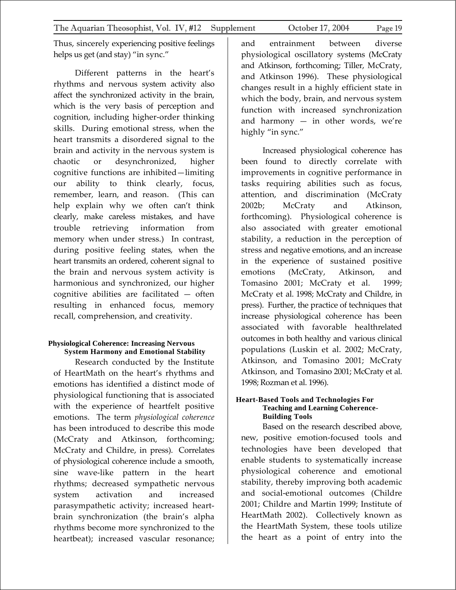Thus, sincerely experiencing positive feelings helps us get (and stay) "in sync."

Different patterns in the heart's rhythms and nervous system activity also affect the synchronized activity in the brain, which is the very basis of perception and cognition, including higher‐order thinking skills. During emotional stress, when the heart transmits a disordered signal to the brain and activity in the nervous system is chaotic or desynchronized, higher cognitive functions are inhibited—limiting our ability to think clearly, focus, remember, learn, and reason. (This can help explain why we often can't think clearly, make careless mistakes, and have trouble retrieving information from memory when under stress.) In contrast, during positive feeling states, when the heart transmits an ordered, coherent signal to the brain and nervous system activity is harmonious and synchronized, our higher cognitive abilities are facilitated — often resulting in enhanced focus, memory recall, comprehension, and creativity.

#### **Physiological Coherence: Increasing Nervous System Harmony and Emotional Stability**

Research conducted by the Institute of HeartMath on the heart's rhythms and emotions has identified a distinct mode of physiological functioning that is associated with the experience of heartfelt positive emotions. The term *physiological coherence* has been introduced to describe this mode (McCraty and Atkinson, forthcoming; McCraty and Childre, in press). Correlates of physiological coherence include a smooth, sine wave‐like pattern in the heart rhythms; decreased sympathetic nervous system activation and increased parasympathetic activity; increased heart‐ brain synchronization (the brain's alpha rhythms become more synchronized to the heartbeat); increased vascular resonance;

and entrainment between diverse physiological oscillatory systems (McCraty and Atkinson, forthcoming; Tiller, McCraty, and Atkinson 1996). These physiological changes result in a highly efficient state in which the body, brain, and nervous system function with increased synchronization and harmony  $-$  in other words, we're highly "in sync."

Increased physiological coherence has been found to directly correlate with improvements in cognitive performance in tasks requiring abilities such as focus, attention, and discrimination (McCraty 2002b; McCraty and Atkinson, forthcoming). Physiological coherence is also associated with greater emotional stability, a reduction in the perception of stress and negative emotions, and an increase in the experience of sustained positive emotions (McCraty, Atkinson, and Tomasino 2001; McCraty et al. 1999; McCraty et al. 1998; McCraty and Childre, in press). Further, the practice of techniques that increase physiological coherence has been associated with favorable healthrelated outcomes in both healthy and various clinical populations (Luskin et al. 2002; McCraty, Atkinson, and Tomasino 2001; McCraty Atkinson, and Tomasino 2001; McCraty et al. 1998; Rozman et al. 1996).

#### **Heart-Based Tools and Technologies For Teaching and Learning Coherence-Building Tools**

Based on the research described above, new, positive emotion‐focused tools and technologies have been developed that enable students to systematically increase physiological coherence and emotional stability, thereby improving both academic and social‐emotional outcomes (Childre 2001; Childre and Martin 1999; Institute of HeartMath 2002). Collectively known as the HeartMath System, these tools utilize the heart as a point of entry into the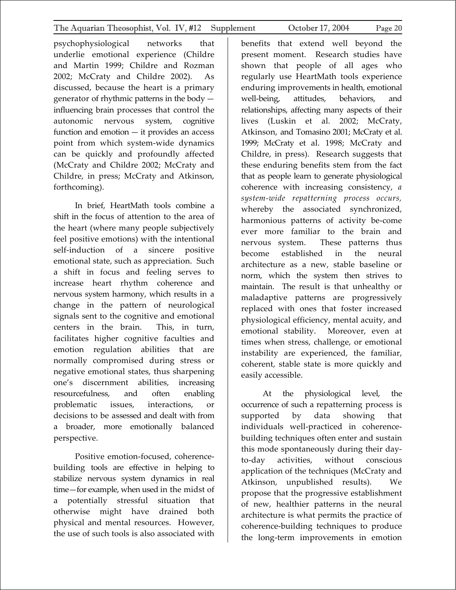psychophysiological networks that underlie emotional experience (Childre and Martin 1999; Childre and Rozman 2002; McCraty and Childre 2002). discussed, because the heart is a primary generator of rhythmic patterns in the body  $$ influencing brain processes that control the autonomic nervous system, cognitive function and emotion — it provides an access point from which system‐wide dynamics can be quickly and profoundly affected (McCraty and Childre 2002; McCraty and Childre, in press; McCraty and Atkinson, forthcoming).

In brief, HeartMath tools combine a shift in the focus of attention to the area of the heart (where many people subjectively feel positive emotions) with the intentional self-induction of a sincere positive emotional state, such as appreciation. Such a shift in focus and feeling serves to increase heart rhythm coherence and nervous system harmony, which results in a change in the pattern of neurological signals sent to the cognitive and emotional centers in the brain. This, in turn, facilitates higher cognitive faculties and emotion regulation abilities that are normally compromised during stress or negative emotional states, thus sharpening one's discernment abilities, increasing resourcefulness, and often enabling problematic issues, interactions, or decisions to be assessed and dealt with from a broader, more emotionally balanced perspective.

Positive emotion‐focused, coherence‐ building tools are effective in helping to stabilize nervous system dynamics in real time—for example, when used in the midst of a potentially stressful situation that otherwise might have drained both physical and mental resources. However, the use of such tools is also associated with

benefits that extend well beyond the present moment. Research studies have shown that people of all ages who regularly use HeartMath tools experience enduring improvements in health, emotional well-being, attitudes, behaviors, and relationships, affecting many aspects of their lives (Luskin et al. 2002; McCraty, Atkinson, and Tomasino 2001; McCraty et al. 1999; McCraty et al. 1998; McCraty and Childre, in press). Research suggests that these enduring benefits stem from the fact that as people learn to generate physiological coherence with increasing consistency, *a system‐wide repatterning process occurs,* whereby the associated synchronized, harmonious patterns of activity be‐come ever more familiar to the brain and nervous system. These patterns thus become established in the neural architecture as a new, stable baseline or norm, which the system then strives to maintain. The result is that unhealthy or maladaptive patterns are progressively replaced with ones that foster increased physiological efficiency, mental acuity, and emotional stability. Moreover, even at times when stress, challenge, or emotional instability are experienced, the familiar, coherent, stable state is more quickly and easily accessible.

At the physiological level, the occurrence of such a repatterning process is supported by data showing that individuals well‐practiced in coherence‐ building techniques often enter and sustain this mode spontaneously during their day‐ to‐day activities, without conscious application of the techniques (McCraty and Atkinson, unpublished results). We propose that the progressive establishment of new, healthier patterns in the neural architecture is what permits the practice of coherence‐building techniques to produce the long‐term improvements in emotion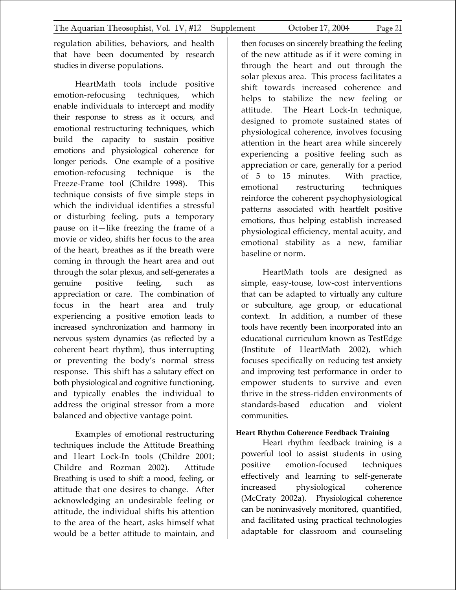regulation abilities, behaviors, and health that have been documented by research studies in diverse populations.

HeartMath tools include positive emotion‐refocusing techniques, which enable individuals to intercept and modify their response to stress as it occurs, and emotional restructuring techniques, which build the capacity to sustain positive emotions and physiological coherence for longer periods. One example of a positive emotion‐refocusing technique is the Freeze-Frame tool (Childre 1998). This technique consists of five simple steps in which the individual identifies a stressful or disturbing feeling, puts a temporary pause on it—like freezing the frame of a movie or video, shifts her focus to the area of the heart, breathes as if the breath were coming in through the heart area and out through the solar plexus, and self‐generates a genuine positive feeling, such as appreciation or care. The combination of focus in the heart area and truly experiencing a positive emotion leads to increased synchronization and harmony in nervous system dynamics (as reflected by a coherent heart rhythm), thus interrupting or preventing the body's normal stress response. This shift has a salutary effect on both physiological and cognitive functioning, and typically enables the individual to address the original stressor from a more balanced and objective vantage point.

Examples of emotional restructuring techniques include the Attitude Breathing and Heart Lock‐In tools (Childre 2001; Childre and Rozman 2002). Attitude Breathing is used to shift a mood, feeling, or attitude that one desires to change. After acknowledging an undesirable feeling or attitude, the individual shifts his attention to the area of the heart, asks himself what would be a better attitude to maintain, and then focuses on sincerely breathing the feeling of the new attitude as if it were coming in through the heart and out through the solar plexus area. This process facilitates a shift towards increased coherence and helps to stabilize the new feeling or attitude. The Heart Lock‐In technique, designed to promote sustained states of physiological coherence, involves focusing attention in the heart area while sincerely experiencing a positive feeling such as appreciation or care, generally for a period of 5 to 15 minutes. With practice, emotional restructuring techniques reinforce the coherent psychophysiological patterns associated with heartfelt positive emotions, thus helping establish increased physiological efficiency, mental acuity, and emotional stability as a new, familiar baseline or norm.

HeartMath tools are designed as simple, easy-touse, low-cost interventions that can be adapted to virtually any culture or subculture, age group, or educational context. In addition, a number of these tools have recently been incorporated into an educational curriculum known as TestEdge (Institute of HeartMath 2002), which focuses specifically on reducing test anxiety and improving test performance in order to empower students to survive and even thrive in the stress‐ridden environments of standards‐based education and violent communities.

#### **Heart Rhythm Coherence Feedback Training**

Heart rhythm feedback training is a powerful tool to assist students in using positive emotion‐focused techniques effectively and learning to self‐generate increased physiological coherence (McCraty 2002a). Physiological coherence can be noninvasively monitored, quantified, and facilitated using practical technologies adaptable for classroom and counseling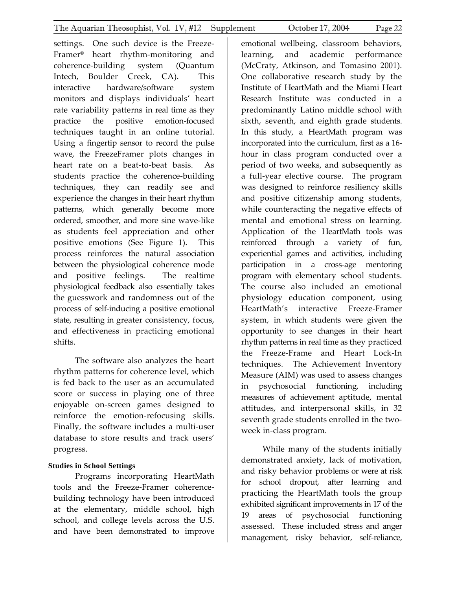settings. One such device is the Freeze-Framer<sup>®</sup> heart rhythm-monitoring and coherence‐building system (Quantum Intech, Boulder Creek, CA). This interactive hardware/software system monitors and displays individuals' heart rate variability patterns in real time as they practice the positive emotion‐focused techniques taught in an online tutorial. Using a fingertip sensor to record the pulse wave, the FreezeFramer plots changes in heart rate on a beat-to-beat basis. As students practice the coherence‐building techniques, they can readily see and experience the changes in their heart rhythm patterns, which generally become more ordered, smoother, and more sine wave‐like as students feel appreciation and other positive emotions (See Figure 1). This process reinforces the natural association between the physiological coherence mode and positive feelings. The realtime physiological feedback also essentially takes the guesswork and randomness out of the process of self‐inducing a positive emotional state, resulting in greater consistency, focus, and effectiveness in practicing emotional shifts.

The software also analyzes the heart rhythm patterns for coherence level, which is fed back to the user as an accumulated score or success in playing one of three enjoyable on‐screen games designed to reinforce the emotion‐refocusing skills. Finally, the software includes a multi‐user database to store results and track users' progress.

#### **Studies in School Settings**

Programs incorporating HeartMath tools and the Freeze‐Framer coherence‐ building technology have been introduced at the elementary, middle school, high school, and college levels across the U.S. and have been demonstrated to improve

emotional wellbeing, classroom behaviors, learning, and academic performance (McCraty, Atkinson, and Tomasino 2001). One collaborative research study by the Institute of HeartMath and the Miami Heart Research Institute was conducted in a predominantly Latino middle school with sixth, seventh, and eighth grade students. In this study, a HeartMath program was incorporated into the curriculum, first as a 16‐ hour in class program conducted over a period of two weeks, and subsequently as a full-year elective course. The program was designed to reinforce resiliency skills and positive citizenship among students, while counteracting the negative effects of mental and emotional stress on learning. Application of the HeartMath tools was reinforced through a variety of fun, experiential games and activities, including participation in a cross‐age mentoring program with elementary school students. The course also included an emotional physiology education component, using HeartMath's interactive Freeze‐Framer system, in which students were given the opportunity to see changes in their heart rhythm patterns in real time as they practiced the Freeze‐Frame and Heart Lock‐In techniques. The Achievement Inventory Measure (AIM) was used to assess changes in psychosocial functioning, including measures of achievement aptitude, mental attitudes, and interpersonal skills, in 32 seventh grade students enrolled in the twoweek in‐class program.

While many of the students initially demonstrated anxiety, lack of motivation, and risky behavior problems or were at risk for school dropout, after learning and practicing the HeartMath tools the group exhibited significant improvements in 17 of the 19 areas of psychosocial functioning assessed. These included stress and anger management, risky behavior, self‐reliance,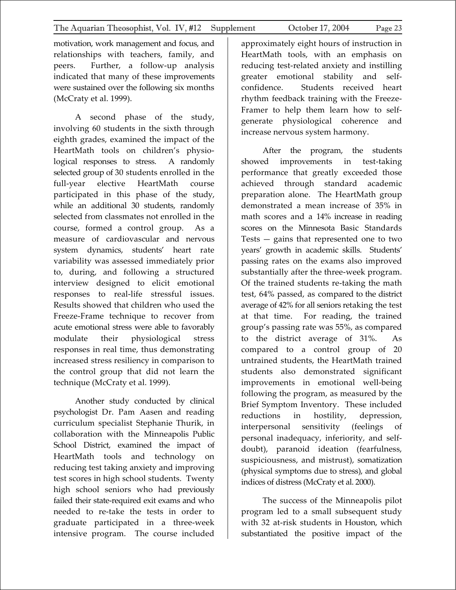motivation, work management and focus, and relationships with teachers, family, and peers. Further, a follow-up analysis indicated that many of these improvements were sustained over the following six months (McCraty et al. 1999).

A second phase of the study, involving 60 students in the sixth through eighth grades, examined the impact of the HeartMath tools on children's physiological responses to stress. A randomly selected group of 30 students enrolled in the full‐year elective HeartMath course participated in this phase of the study, while an additional 30 students, randomly selected from classmates not enrolled in the course, formed a control group. As a measure of cardiovascular and nervous system dynamics, students' heart rate variability was assessed immediately prior to, during, and following a structured interview designed to elicit emotional responses to real‐life stressful issues. Results showed that children who used the Freeze‐Frame technique to recover from acute emotional stress were able to favorably modulate their physiological stress responses in real time, thus demonstrating increased stress resiliency in comparison to the control group that did not learn the technique (McCraty et al. 1999).

Another study conducted by clinical psychologist Dr. Pam Aasen and reading curriculum specialist Stephanie Thurik, in collaboration with the Minneapolis Public School District, examined the impact of HeartMath tools and technology on reducing test taking anxiety and improving test scores in high school students. Twenty high school seniors who had previously failed their state‐required exit exams and who needed to re‐take the tests in order to graduate participated in a three‐week intensive program. The course included

approximately eight hours of instruction in HeartMath tools, with an emphasis on reducing test‐related anxiety and instilling greater emotional stability and self‐ confidence. Students received heart rhythm feedback training with the Freeze‐ Framer to help them learn how to self‐ generate physiological coherence and increase nervous system harmony.

After the program, the students showed improvements in test-taking performance that greatly exceeded those achieved through standard academic preparation alone. The HeartMath group demonstrated a mean increase of 35% in math scores and a 14% increase in reading scores on the Minnesota Basic Standards Tests — gains that represented one to two years' growth in academic skills. Students' passing rates on the exams also improved substantially after the three‐week program. Of the trained students re‐taking the math test, 64% passed, as compared to the district average of 42% for all seniors retaking the test at that time. For reading, the trained group's passing rate was 55%, as compared to the district average of 31%. As compared to a control group of 20 untrained students, the HeartMath trained students also demonstrated significant improvements in emotional well-being following the program, as measured by the Brief Symptom Inventory. These included reductions in hostility, depression, interpersonal sensitivity (feelings of personal inadequacy, inferiority, and self‐ doubt), paranoid ideation (fearfulness, suspiciousness, and mistrust), somatization (physical symptoms due to stress), and global indices of distress (McCraty et al. 2000).

The success of the Minneapolis pilot program led to a small subsequent study with 32 at-risk students in Houston, which substantiated the positive impact of the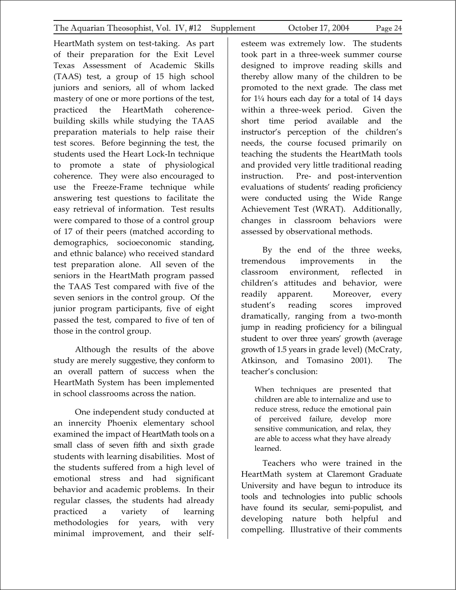HeartMath system on test-taking. As part of their preparation for the Exit Level Texas Assessment of Academic Skills (TAAS) test, a group of 15 high school juniors and seniors, all of whom lacked mastery of one or more portions of the test, practiced the HeartMath coherence‐ building skills while studying the TAAS preparation materials to help raise their test scores. Before beginning the test, the students used the Heart Lock‐In technique to promote a state of physiological coherence. They were also encouraged to use the Freeze‐Frame technique while answering test questions to facilitate the easy retrieval of information. Test results were compared to those of a control group of 17 of their peers (matched according to demographics, socioeconomic standing, and ethnic balance) who received standard test preparation alone. All seven of the seniors in the HeartMath program passed the TAAS Test compared with five of the seven seniors in the control group. Of the junior program participants, five of eight passed the test, compared to five of ten of those in the control group.

Although the results of the above study are merely suggestive, they conform to an overall pattern of success when the HeartMath System has been implemented in school classrooms across the nation.

One independent study conducted at an innercity Phoenix elementary school examined the impact of HeartMath tools on a small class of seven fifth and sixth grade students with learning disabilities. Most of the students suffered from a high level of emotional stress and had significant behavior and academic problems. In their regular classes, the students had already practiced a variety of learning methodologies for years, with very minimal improvement, and their self‐

esteem was extremely low. The students took part in a three‐week summer course designed to improve reading skills and thereby allow many of the children to be promoted to the next grade. The class met for 1¼ hours each day for a total of 14 days within a three-week period. Given the short time period available and the instructor's perception of the children's needs, the course focused primarily on teaching the students the HeartMath tools and provided very little traditional reading instruction. Pre- and post-intervention evaluations of students' reading proficiency were conducted using the Wide Range Achievement Test (WRAT). Additionally, changes in classroom behaviors were assessed by observational methods.

By the end of the three weeks, tremendous improvements in the classroom environment, reflected in children's attitudes and behavior, were readily apparent. Moreover, every student's reading scores improved dramatically, ranging from a two-month jump in reading proficiency for a bilingual student to over three years' growth (average growth of 1.5 years in grade level) (McCraty, Atkinson, and Tomasino 2001). The teacher's conclusion:

When techniques are presented that children are able to internalize and use to reduce stress, reduce the emotional pain of perceived failure, develop more sensitive communication, and relax, they are able to access what they have already learned.

Teachers who were trained in the HeartMath system at Claremont Graduate University and have begun to introduce its tools and technologies into public schools have found its secular, semi‐populist, and developing nature both helpful and compelling. Illustrative of their comments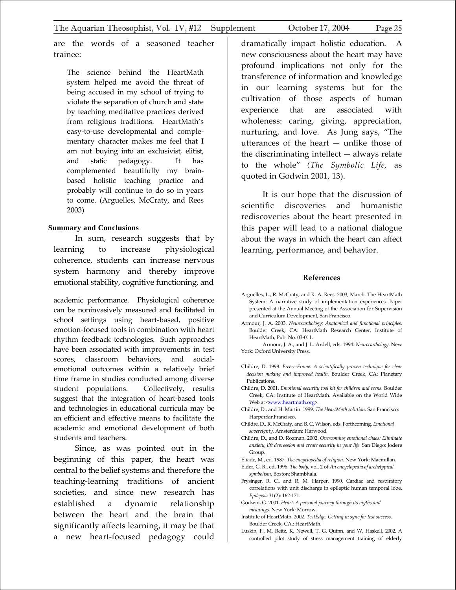are the words of a seasoned teacher trainee:

The science behind the HeartMath system helped me avoid the threat of being accused in my school of trying to violate the separation of church and state by teaching meditative practices derived from religious traditions. HeartMath's easy‐to‐use developmental and comple‐ mentary character makes me feel that I am not buying into an exclusivist, elitist, and static pedagogy. It has complemented beautifully my brain‐ based holistic teaching practice and probably will continue to do so in years to come. (Arguelles, McCraty, and Rees 2003)

#### **Summary and Conclusions**

In sum, research suggests that by learning to increase physiological coherence, students can increase nervous system harmony and thereby improve emotional stability, cognitive functioning, and

academic performance. Physiological coherence can be noninvasively measured and facilitated in school settings using heart‐based, positive emotion‐focused tools in combination with heart rhythm feedback technologies. Such approaches have been associated with improvements in test scores, classroom behaviors, and socialemotional outcomes within a relatively brief time frame in studies conducted among diverse student populations. Collectively, results suggest that the integration of heart-based tools and technologies in educational curricula may be an efficient and effective means to facilitate the academic and emotional development of both students and teachers.

Since, as was pointed out in the beginning of this paper, the heart was central to the belief systems and therefore the teaching‐learning traditions of ancient societies, and since new research has established a dynamic relationship between the heart and the brain that significantly affects learning, it may be that a new heart‐focused pedagogy could

dramatically impact holistic education. A new consciousness about the heart may have profound implications not only for the transference of information and knowledge in our learning systems but for the cultivation of those aspects of human experience that are associated with wholeness: caring, giving, appreciation, nurturing, and love. As Jung says, "The utterances of the heart — unlike those of the discriminating intellect — always relate to the whole" *(The Symbolic Life,* as quoted in Godwin 2001, 13).

It is our hope that the discussion of scientific discoveries and humanistic rediscoveries about the heart presented in this paper will lead to a national dialogue about the ways in which the heart can affect learning, performance, and behavior.

#### **References**

- Arguelles, L., R. McCraty, and R. A. Rees. 2003, March. The HeartMath System: A narrative study of implementation experiences. Paper presented at the Annual Meeting of the Association for Supervision and Curriculum Development, San Francisco.
- Armour, J. A. 2003. *Neurocardiology: Anatomical and functional principles.* Boulder Creek, CA: HeartMath Research Center, Institute of HeartMath, Pub. No. 03‐011.

Armour, J. A., and J. L. Ardell, eds. 1994. *Neurocardiology.* New York: Oxford University Press.

- Childre, D. 1998. *Freeze‐Frame: A scientifically proven technique for clear decision making and improved health.* Boulder Creek, CA: Planetary Publications.
- Childre, D. 2001. *Emotional security tool kit for children and teens.* Boulder Creek, CA: Institute of HeartMath. Available on the World Wide Web at <**www.heartmath.org**>.
- Childre, D., and H. Martin. 1999. *The HeartMath solution.* San Francisco: HarperSanFrancisco.
- Childre, D., R. McCraty, and B. C. Wilson, eds. Forthcoming. *Emotional sovereignty.* Amsterdam: Harwood.
- Childre, D., and D. Rozman. 2002. *Overcoming emotional chaos: Eliminate anxiety, lift depression and create security in your life.* San Diego: Jodere Group.
- Eliade, M., ed. 1987. *The encyclopedia of religion.* New York: Macmillan.
- Elder, G. R., ed. 1996. *The body,* vol. 2 of *An encyclopedia of archetypical symbolism.* Boston: Shambhala.
- Frysinger, R. C., and R. M. Harper. 1990. Cardiac and respiratory correlations with unit discharge in epileptic human temporal lobe. *Epilepsia* 31(2): 162‐171.
- Godwin, G. 2001. *Heart: A personal journey through its myths and meanings.* New York: Morrow.
- Institute of HeartMath. 2002. *TestEdge: Getting in sync for test success.* Boulder Creek, CA.: HeartMath.
- Luskin, F., M. Reitz, K. Newell, T. G. Quinn, and W. Haskell. 2002. A controlled pilot study of stress management training of elderly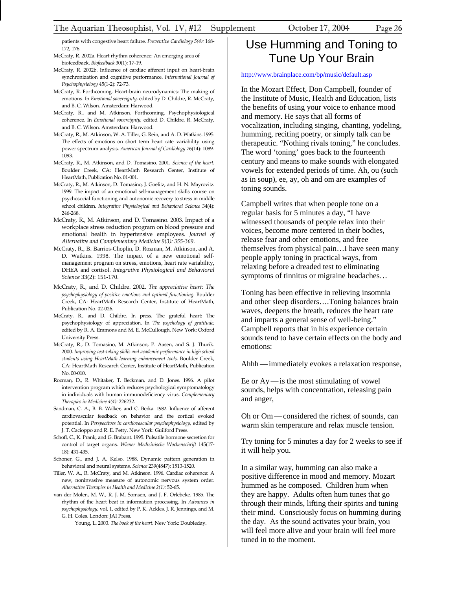<span id="page-25-0"></span>patients with congestive heart failure. *Preventive Cardiology 5(4):* 168‐ 172, 176.

- McCraty, R. 2002a. Heart rhythm coherence: An emerging area of biofeedback. *Biofeedback* 30(1): 17‐19.
- McCraty, R. 2002b. Influence of cardiac afferent input on heart‐brain synchronization and cognitive performance. *International Journal of Psychophysiology* 45(1‐2): 72‐73.
- McCraty, R. Forthcoming. Heart‐brain neurodynamics: The making of emotions. In *Emotional sovereignty,* edited by D. Childre, R. McCraty, and B. C. Wilson. Amsterdam: Harwood.
- McCraty, R., and M. Atkinson. Forthcoming. Psychophysiological coherence. In *Emotional sovereignty,* edited D. Childre, R. McCraty, and B. C. Wilson. Amsterdam: Harwood.
- McCraty, R., M. Atkinson, W. A. Tiller, G. Rein, and A. D. Watkins. 1995. The effects of emotions on short term heart rate variability using power spectrum analysis. *American Journal of Cardiology* 76(14): 1089‐ 1093.
- McCraty, R., M. Atkinson, and D. Tomasino. 2001. *Science of the heart.* Boulder Creek, CA: HeartMath Research Center, Institute of HeartMath, Publication No. 01‐001.
- McCraty, R., M. Atkinson, D. Tomasino, J. Goelitz, and H. N. Mayrovitz. 1999. The impact of an emotional self-management skills course on psychosocial functioning and autonomic recovery to stress in middle school children. *Integrative Physiological and Behavioral Science* 34(4): 246‐268.
- McCraty, R., M. Atkinson, and D. Tomasino. 2003. Impact of a workplace stress reduction program on blood pressure and emotional health in hypertensive employees. *Journal of Alternative and Complementary Medicine 9(3): 355‐369.*
- McCraty, R., B. Barrios-Choplin, D. Rozman, M. Atkinson, and A. D. Watkins. 1998. The impact of a new emotional selfmanagement program on stress, emotions, heart rate variability, DHEA and cortisol. *Integrative Physiological and Behavioral Science* 33(2): 151-170.
- McCraty, R., and D. Childre. 2002. *The appreciative heart: The psychophysiology of positive emotions and optimal functioning.* Boulder Creek, CA: HeartMath Research Center, Institute of HeartMath, Publication No. 02‐026.
- McCraty, R., and D. Childre. In press. The grateful heart: The psychophysiology of appreciation. In *The psychology of gratitude,* edited by R. A. Emmons and M. E. McCullough. New York: Oxford University Press.
- McCraty, R., D. Tomasino, M. Atkinson, P. Aasen, and S. J. Thurik. 2000. *Improving test‐taking skills and academic performance in high school students using HeartMath learning enhancement tools.* Boulder Creek, CA: HeartMath Research Center, Institute of HeartMath, Publication No. 00‐010.
- Rozman, D., R. Whitaker, T. Beckman, and D. Jones. 1996. A pilot intervention program which reduces psychological symptomatology in individuals with human immunodeficiency virus. *Complementary Therapies in Medicine 4(4):* 226232.
- Sandman, C. A., B. B. Walker, and C. Berka. 1982. Influence of afferent cardiovascular feedback on behavior and the cortical evoked potential. In *Perspectives in cardiovascular psychophysiology,* edited by J. T. Cacioppo and R. E. Petty. New York: Guilford Press.
- Schofl, C., K. Prank, and G. Brabant. 1995. Pulsatile hormone secretion for control of target organs. *Wiener Medizinische Wochenschrift* 145(17‐ 18): 431‐435.
- Schoner, G., and J. A. Kelso. 1988. Dynamic pattern generation in behavioral and neural systems. *Science* 239(4847): 1513‐1520.
- Tiller, W. A., R. McCraty, and M. Atkinson. 1996. Cardiac coherence: A new, noninvasive measure of autonomic nervous system order. *Alternative Therapies in Health and Medicine 2(1):* 52‐65.
- van der Molen, M. W., R. J. M. Somsen, and J. F. Orlebeke. 1985. The rhythm of the heart beat in information processing. In *Advances in psychophysiology,* vol. 1, edited by P. K. Ackles, J. R. Jennings, and M. G. H. Coles. London: JAI Press.

Young, L. 2003. *The book of the heart.* New York: Doubleday.

# Use Humming and Toning to Tune Up Your Brain

<http://www.brainplace.com/bp/music/default.asp>

In the Mozart Effect, Don Campbell, founder of the Institute of Music, Health and Education, lists the benefits of using your voice to enhance mood and memory. He says that all forms of vocalization, including singing, chanting, yodeling, humming, reciting poetry, or simply talk can be therapeutic. "Nothing rivals toning," he concludes. The word 'toning' goes back to the fourteenth century and means to make sounds with elongated vowels for extended periods of time. Ah, ou (such as in soup), ee, ay, oh and om are examples of toning sounds.

Campbell writes that when people tone on a regular basis for 5 minutes a day, "I have witnessed thousands of people relax into their voices, become more centered in their bodies, release fear and other emotions, and free themselves from physical pain…I have seen many people apply toning in practical ways, from relaxing before a dreaded test to eliminating symptoms of tinnitus or migraine headaches...

Toning has been effective in relieving insomnia and other sleep disorders….Toning balances brain waves, deepens the breath, reduces the heart rate and imparts a general sense of well-being." Campbell reports that in his experience certain sounds tend to have certain effects on the body and emotions:

Ahhh—immediately evokes a relaxation response,

Ee or  $Ay$ — is the most stimulating of vowel sounds, helps with concentration, releasing pain and anger,

Oh or Om—considered the richest of sounds, can warm skin temperature and relax muscle tension.

Try toning for 5 minutes a day for 2 weeks to see if it will help you.

In a similar way, humming can also make a positive difference in mood and memory. Mozart hummed as he composed. Children hum when they are happy. Adults often hum tunes that go through their minds, lifting their spirits and tuning their mind. Consciously focus on humming during the day. As the sound activates your brain, you will feel more alive and your brain will feel more tuned in to the moment.